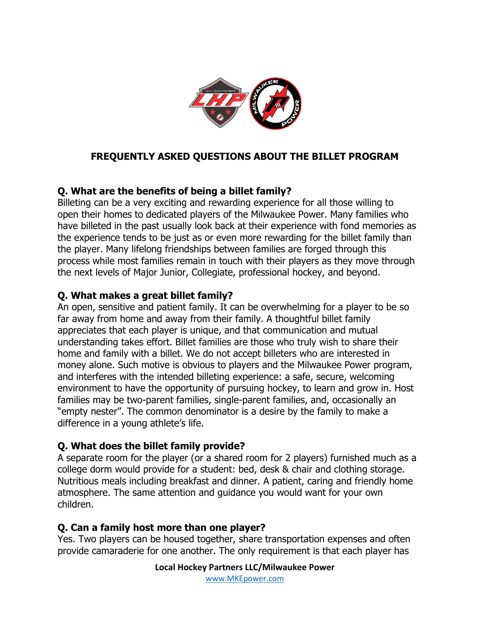

### **FREQUENTLY ASKED QUESTIONS ABOUT THE BILLET PROGRAM**

# **Q. What are the benefits of being a billet family?**

Billeting can be a very exciting and rewarding experience for all those willing to open their homes to dedicated players of the Milwaukee Power. Many families who have billeted in the past usually look back at their experience with fond memories as the experience tends to be just as or even more rewarding for the billet family than the player. Many lifelong friendships between families are forged through this process while most families remain in touch with their players as they move through the next levels of Major Junior, Collegiate, professional hockey, and beyond.

### **Q. What makes a great billet family?**

An open, sensitive and patient family. It can be overwhelming for a player to be so far away from home and away from their family. A thoughtful billet family appreciates that each player is unique, and that communication and mutual understanding takes effort. Billet families are those who truly wish to share their home and family with a billet. We do not accept billeters who are interested in money alone. Such motive is obvious to players and the Milwaukee Power program, and interferes with the intended billeting experience: a safe, secure, welcoming environment to have the opportunity of pursuing hockey, to learn and grow in. Host families may be two-parent families, single-parent families, and, occasionally an "empty nester". The common denominator is a desire by the family to make a difference in a young athlete's life.

## **Q. What does the billet family provide?**

A separate room for the player (or a shared room for 2 players) furnished much as a college dorm would provide for a student: bed, desk & chair and clothing storage. Nutritious meals including breakfast and dinner. A patient, caring and friendly home atmosphere. The same attention and guidance you would want for your own children.

## **Q. Can a family host more than one player?**

Yes. Two players can be housed together, share transportation expenses and often provide camaraderie for one another. The only requirement is that each player has

> **Local Hockey Partners LLC/Milwaukee Power** [www.MKEpower.com](http://www.mkepower.com/)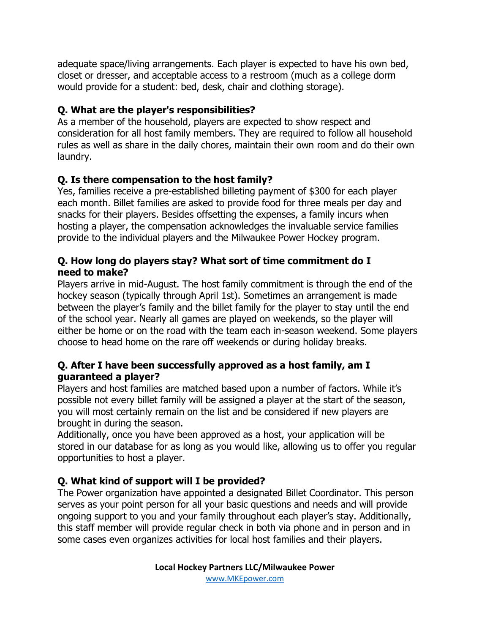adequate space/living arrangements. Each player is expected to have his own bed, closet or dresser, and acceptable access to a restroom (much as a college dorm would provide for a student: bed, desk, chair and clothing storage).

# **Q. What are the player's responsibilities?**

As a member of the household, players are expected to show respect and consideration for all host family members. They are required to follow all household rules as well as share in the daily chores, maintain their own room and do their own laundry.

# **Q. Is there compensation to the host family?**

Yes, families receive a pre-established billeting payment of \$300 for each player each month. Billet families are asked to provide food for three meals per day and snacks for their players. Besides offsetting the expenses, a family incurs when hosting a player, the compensation acknowledges the invaluable service families provide to the individual players and the Milwaukee Power Hockey program.

### **Q. How long do players stay? What sort of time commitment do I need to make?**

Players arrive in mid-August. The host family commitment is through the end of the hockey season (typically through April 1st). Sometimes an arrangement is made between the player's family and the billet family for the player to stay until the end of the school year. Nearly all games are played on weekends, so the player will either be home or on the road with the team each in-season weekend. Some players choose to head home on the rare off weekends or during holiday breaks.

## **Q. After I have been successfully approved as a host family, am I guaranteed a player?**

Players and host families are matched based upon a number of factors. While it's possible not every billet family will be assigned a player at the start of the season, you will most certainly remain on the list and be considered if new players are brought in during the season.

Additionally, once you have been approved as a host, your application will be stored in our database for as long as you would like, allowing us to offer you regular opportunities to host a player.

# **Q. What kind of support will I be provided?**

The Power organization have appointed a designated Billet Coordinator. This person serves as your point person for all your basic questions and needs and will provide ongoing support to you and your family throughout each player's stay. Additionally, this staff member will provide regular check in both via phone and in person and in some cases even organizes activities for local host families and their players.